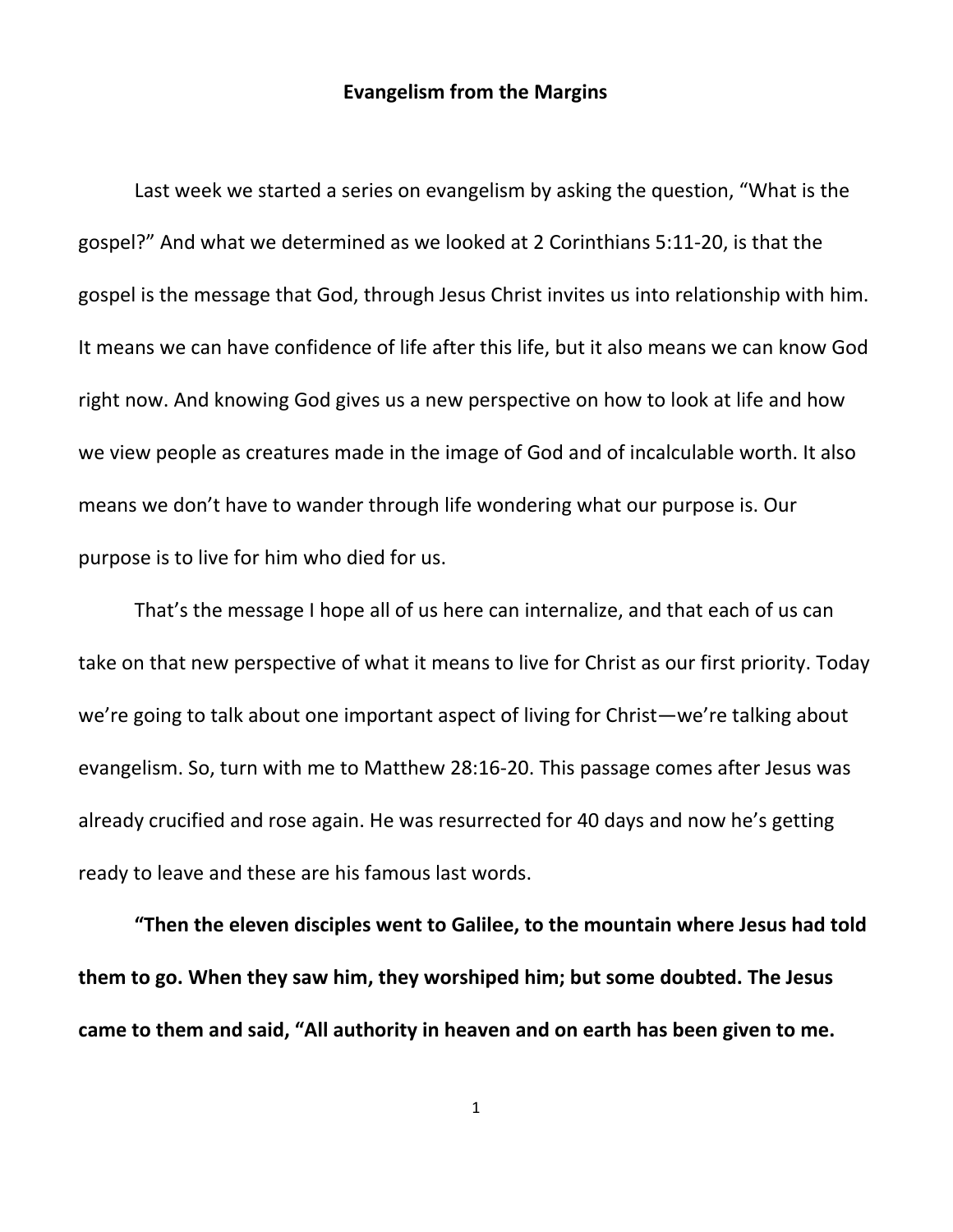## **Evangelism from the Margins**

Last week we started a series on evangelism by asking the question, "What is the gospel?" And what we determined as we looked at 2 Corinthians 5:11-20, is that the gospel is the message that God, through Jesus Christ invites us into relationship with him. It means we can have confidence of life after this life, but it also means we can know God right now. And knowing God gives us a new perspective on how to look at life and how we view people as creatures made in the image of God and of incalculable worth. It also means we don't have to wander through life wondering what our purpose is. Our purpose is to live for him who died for us.

That's the message I hope all of us here can internalize, and that each of us can take on that new perspective of what it means to live for Christ as our first priority. Today we're going to talk about one important aspect of living for Christ—we're talking about evangelism. So, turn with me to Matthew 28:16-20. This passage comes after Jesus was already crucified and rose again. He was resurrected for 40 days and now he's getting ready to leave and these are his famous last words.

**"Then the eleven disciples went to Galilee, to the mountain where Jesus had told them to go. When they saw him, they worshiped him; but some doubted. The Jesus came to them and said, "All authority in heaven and on earth has been given to me.**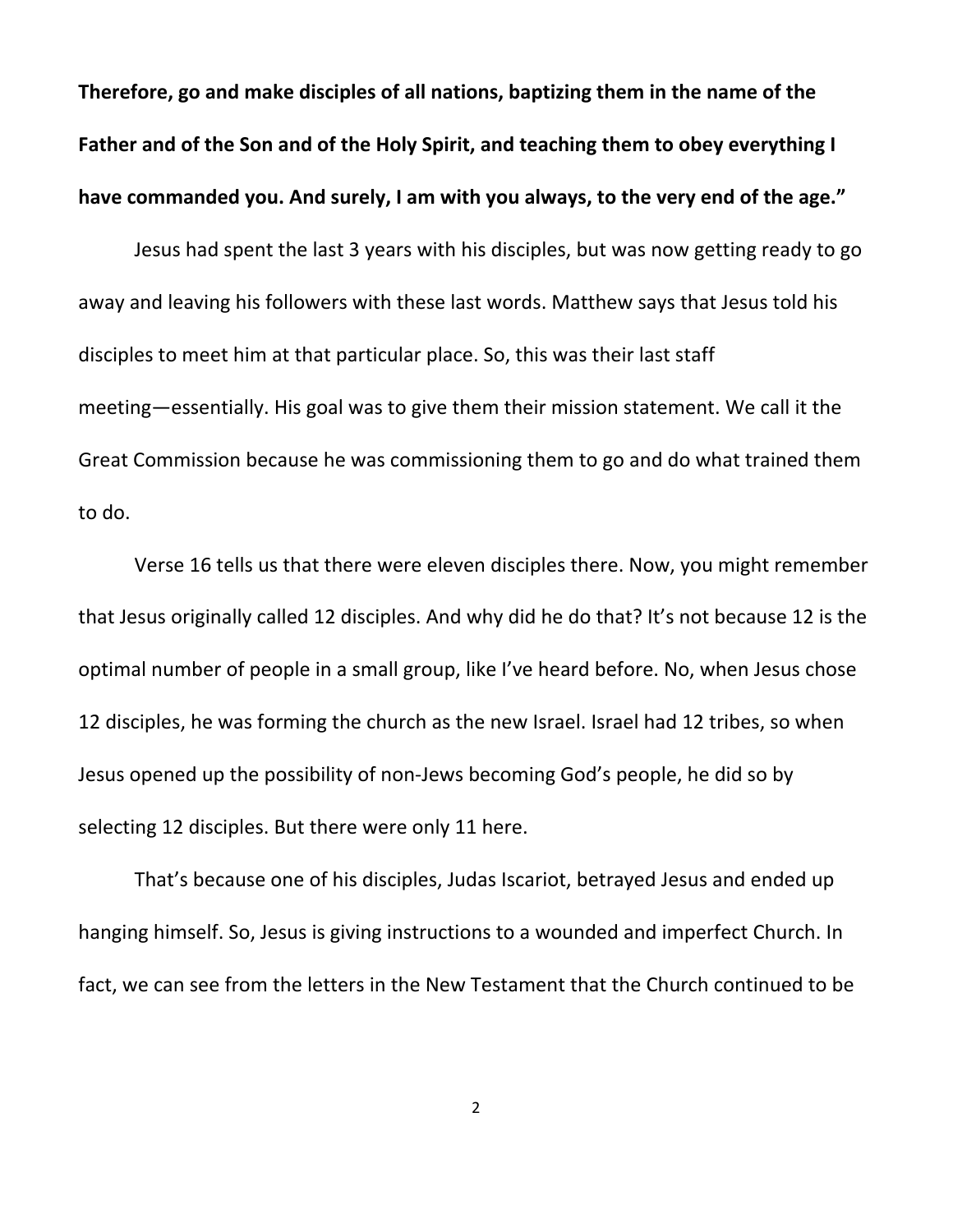**Therefore, go and make disciples of all nations, baptizing them in the name of the Father and of the Son and of the Holy Spirit, and teaching them to obey everything I have commanded you. And surely, I am with you always, to the very end of the age."**

Jesus had spent the last 3 years with his disciples, but was now getting ready to go away and leaving his followers with these last words. Matthew says that Jesus told his disciples to meet him at that particular place. So, this was their last staff meeting—essentially. His goal was to give them their mission statement. We call it the Great Commission because he was commissioning them to go and do what trained them to do.

Verse 16 tells us that there were eleven disciples there. Now, you might remember that Jesus originally called 12 disciples. And why did he do that? It's not because 12 is the optimal number of people in a small group, like I've heard before. No, when Jesus chose 12 disciples, he was forming the church as the new Israel. Israel had 12 tribes, so when Jesus opened up the possibility of non-Jews becoming God's people, he did so by selecting 12 disciples. But there were only 11 here.

That's because one of his disciples, Judas Iscariot, betrayed Jesus and ended up hanging himself. So, Jesus is giving instructions to a wounded and imperfect Church. In fact, we can see from the letters in the New Testament that the Church continued to be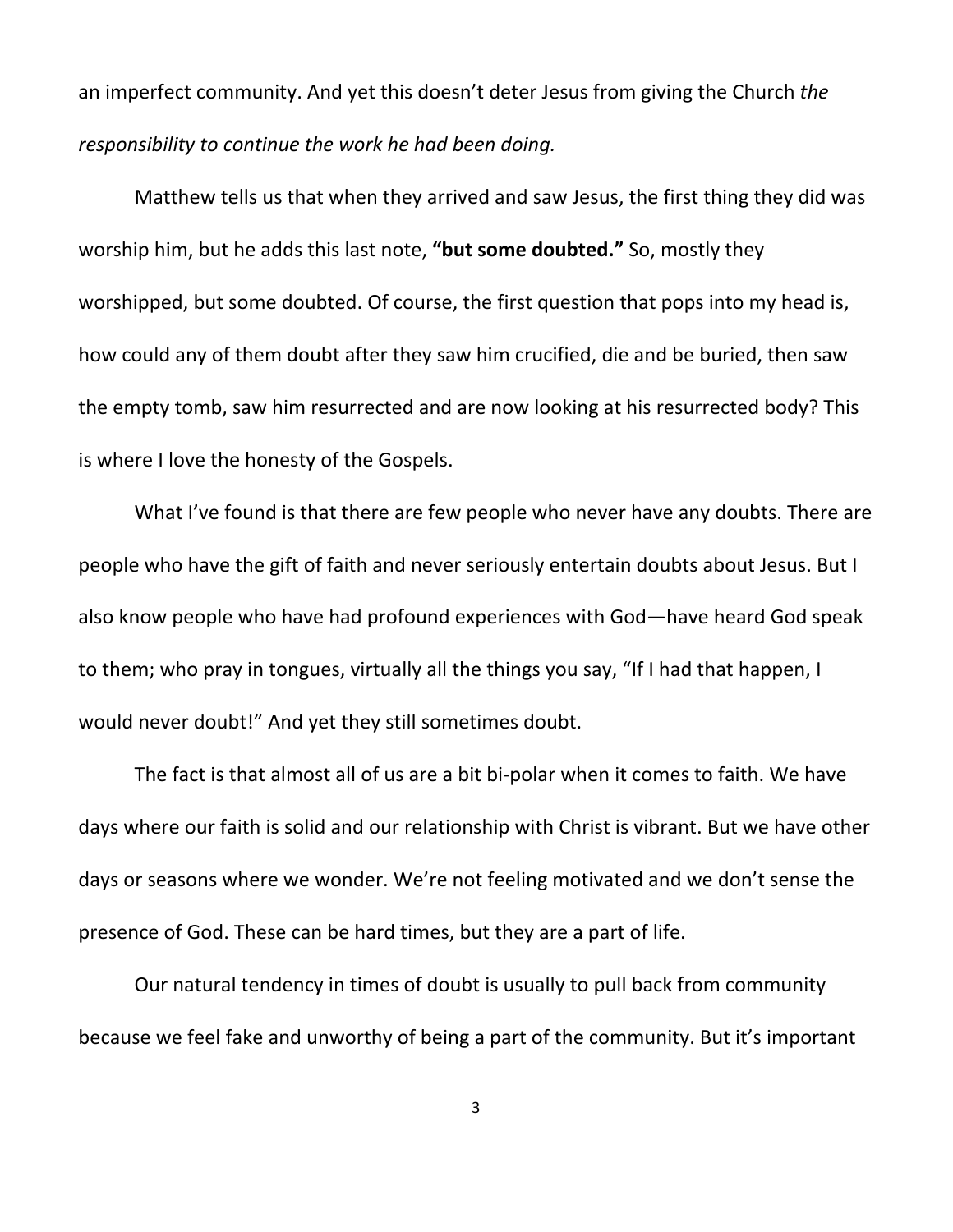an imperfect community. And yet this doesn't deter Jesus from giving the Church *the responsibility to continue the work he had been doing.*

Matthew tells us that when they arrived and saw Jesus, the first thing they did was worship him, but he adds this last note, **"but some doubted."** So, mostly they worshipped, but some doubted. Of course, the first question that pops into my head is, how could any of them doubt after they saw him crucified, die and be buried, then saw the empty tomb, saw him resurrected and are now looking at his resurrected body? This is where I love the honesty of the Gospels.

What I've found is that there are few people who never have any doubts. There are people who have the gift of faith and never seriously entertain doubts about Jesus. But I also know people who have had profound experiences with God—have heard God speak to them; who pray in tongues, virtually all the things you say, "If I had that happen, I would never doubt!" And yet they still sometimes doubt.

The fact is that almost all of us are a bit bi-polar when it comes to faith. We have days where our faith is solid and our relationship with Christ is vibrant. But we have other days or seasons where we wonder. We're not feeling motivated and we don't sense the presence of God. These can be hard times, but they are a part of life.

Our natural tendency in times of doubt is usually to pull back from community because we feel fake and unworthy of being a part of the community. But it's important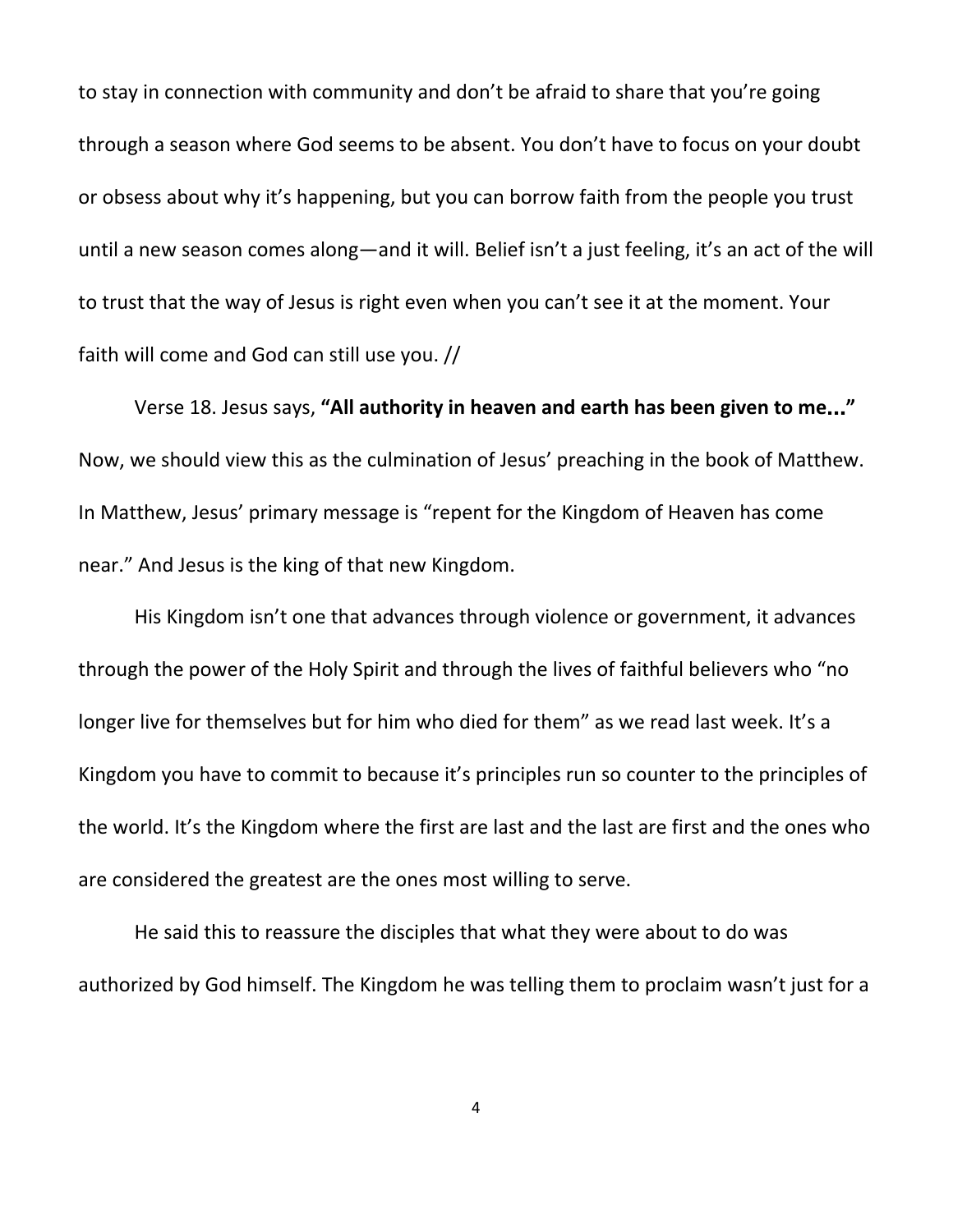to stay in connection with community and don't be afraid to share that you're going through a season where God seems to be absent. You don't have to focus on your doubt or obsess about why it's happening, but you can borrow faith from the people you trust until a new season comes along—and it will. Belief isn't a just feeling, it's an act of the will to trust that the way of Jesus is right even when you can't see it at the moment. Your faith will come and God can still use you. //

Verse 18. Jesus says, **"All authority in heaven and earth has been given to me**…**"** Now, we should view this as the culmination of Jesus' preaching in the book of Matthew. In Matthew, Jesus' primary message is "repent for the Kingdom of Heaven has come near." And Jesus is the king of that new Kingdom.

His Kingdom isn't one that advances through violence or government, it advances through the power of the Holy Spirit and through the lives of faithful believers who "no longer live for themselves but for him who died for them" as we read last week. It's a Kingdom you have to commit to because it's principles run so counter to the principles of the world. It's the Kingdom where the first are last and the last are first and the ones who are considered the greatest are the ones most willing to serve.

He said this to reassure the disciples that what they were about to do was authorized by God himself. The Kingdom he was telling them to proclaim wasn't just for a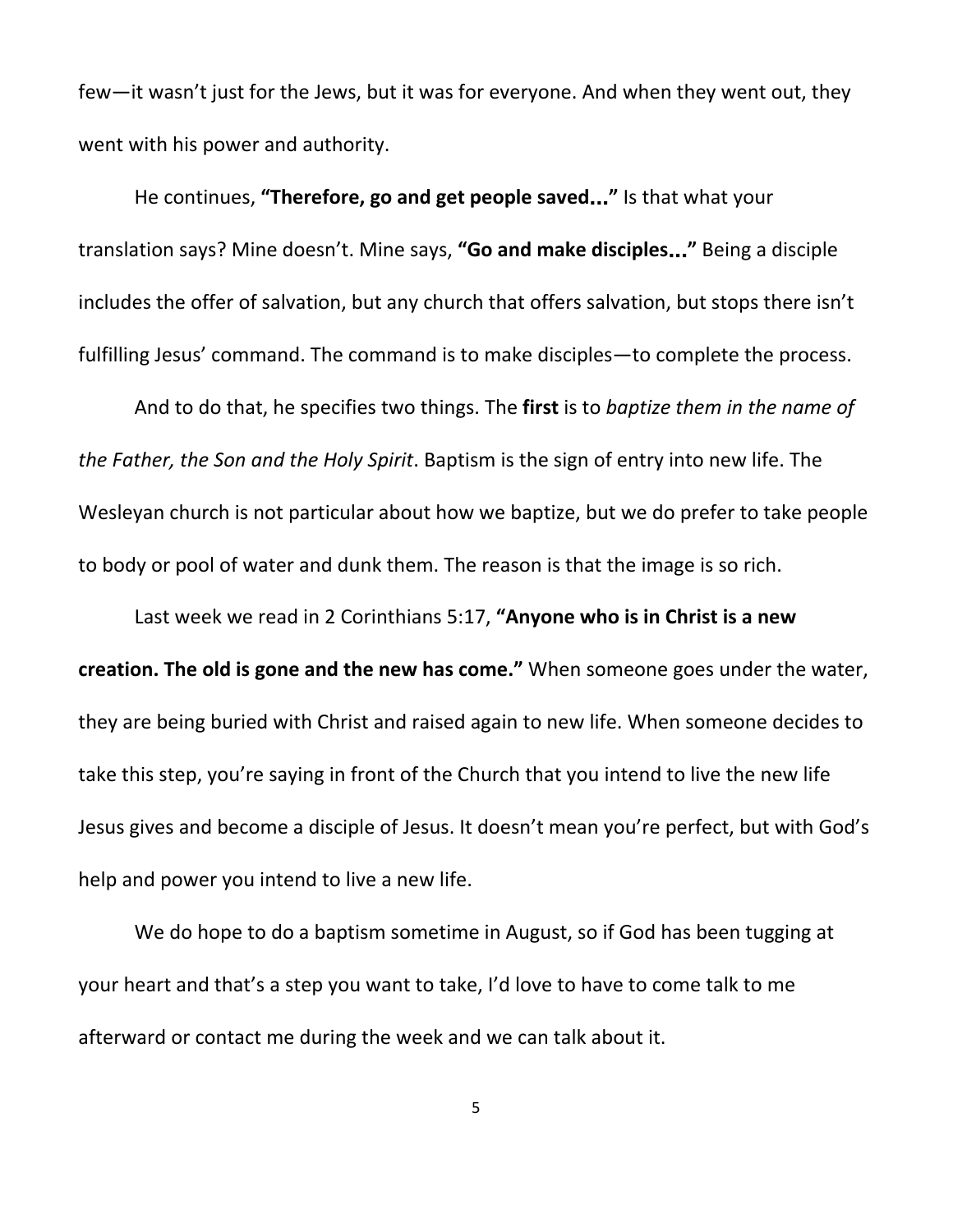few—it wasn't just for the Jews, but it was for everyone. And when they went out, they went with his power and authority.

He continues, **"Therefore, go and get people saved**…**"** Is that what your translation says? Mine doesn't. Mine says, **"Go and make disciples**…**"** Being a disciple includes the offer of salvation, but any church that offers salvation, but stops there isn't fulfilling Jesus' command. The command is to make disciples—to complete the process.

And to do that, he specifies two things. The **first** is to *baptize them in the name of the Father, the Son and the Holy Spirit*. Baptism is the sign of entry into new life. The Wesleyan church is not particular about how we baptize, but we do prefer to take people to body or pool of water and dunk them. The reason is that the image is so rich.

Last week we read in 2 Corinthians 5:17, **"Anyone who is in Christ is a new creation. The old is gone and the new has come."** When someone goes under the water, they are being buried with Christ and raised again to new life. When someone decides to take this step, you're saying in front of the Church that you intend to live the new life Jesus gives and become a disciple of Jesus. It doesn't mean you're perfect, but with God's help and power you intend to live a new life.

We do hope to do a baptism sometime in August, so if God has been tugging at your heart and that's a step you want to take, I'd love to have to come talk to me afterward or contact me during the week and we can talk about it.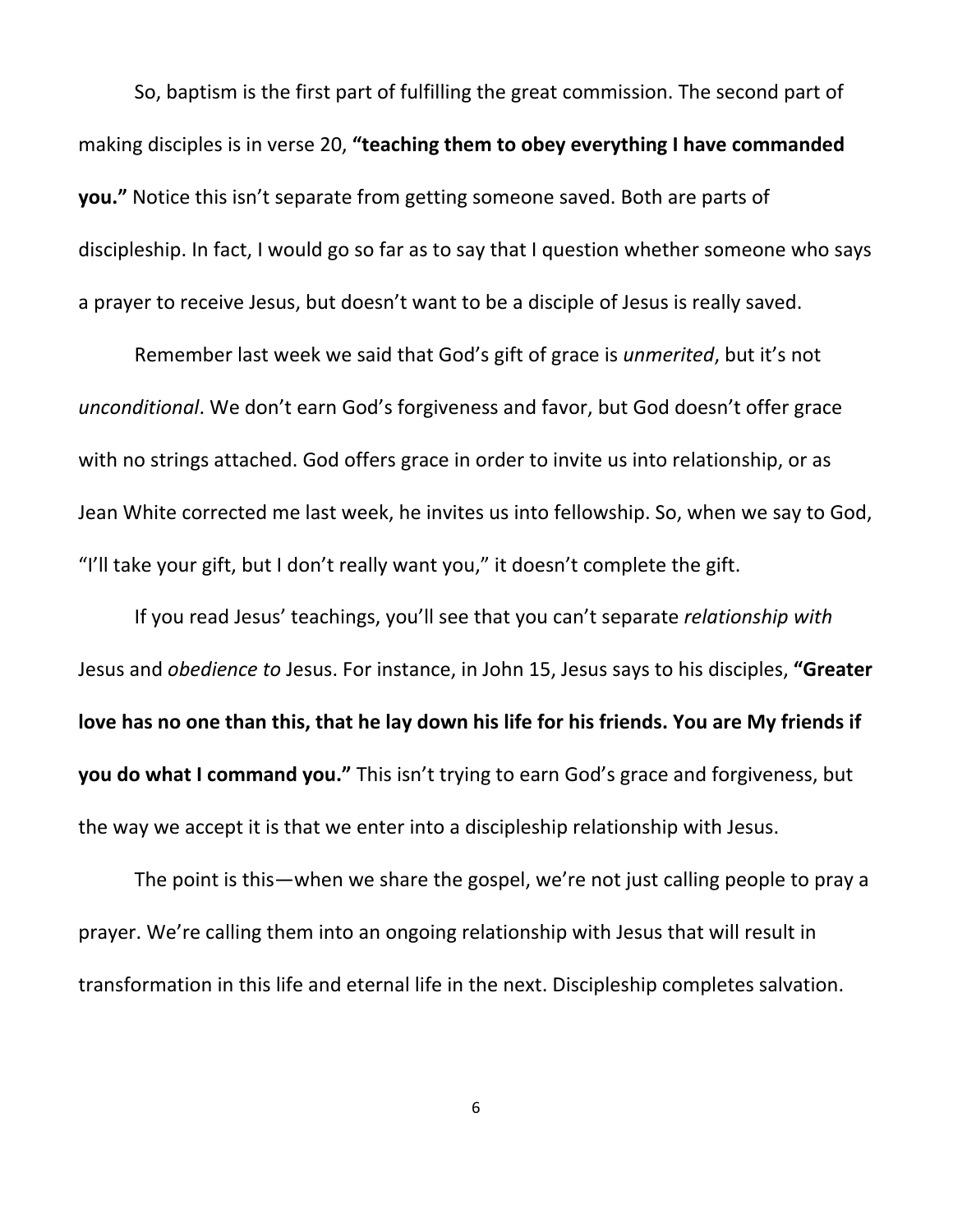So, baptism is the first part of fulfilling the great commission. The second part of making disciples is in verse 20, **"teaching them to obey everything I have commanded you."** Notice this isn't separate from getting someone saved. Both are parts of discipleship. In fact, I would go so far as to say that I question whether someone who says a prayer to receive Jesus, but doesn't want to be a disciple of Jesus is really saved.

Remember last week we said that God's gift of grace is *unmerited*, but it's not *unconditional*. We don't earn God's forgiveness and favor, but God doesn't offer grace with no strings attached. God offers grace in order to invite us into relationship, or as Jean White corrected me last week, he invites us into fellowship. So, when we say to God, "I'll take your gift, but I don't really want you," it doesn't complete the gift.

If you read Jesus' teachings, you'll see that you can't separate *relationship with* Jesus and *obedience to* Jesus. For instance, in John 15, Jesus says to his disciples, **"Greater** love has no one than this, that he lay down his life for his friends. You are My friends if **you do what I command you."** This isn't trying to earn God's grace and forgiveness, but the way we accept it is that we enter into a discipleship relationship with Jesus.

The point is this—when we share the gospel, we're not just calling people to pray a prayer. We're calling them into an ongoing relationship with Jesus that will result in transformation in this life and eternal life in the next. Discipleship completes salvation.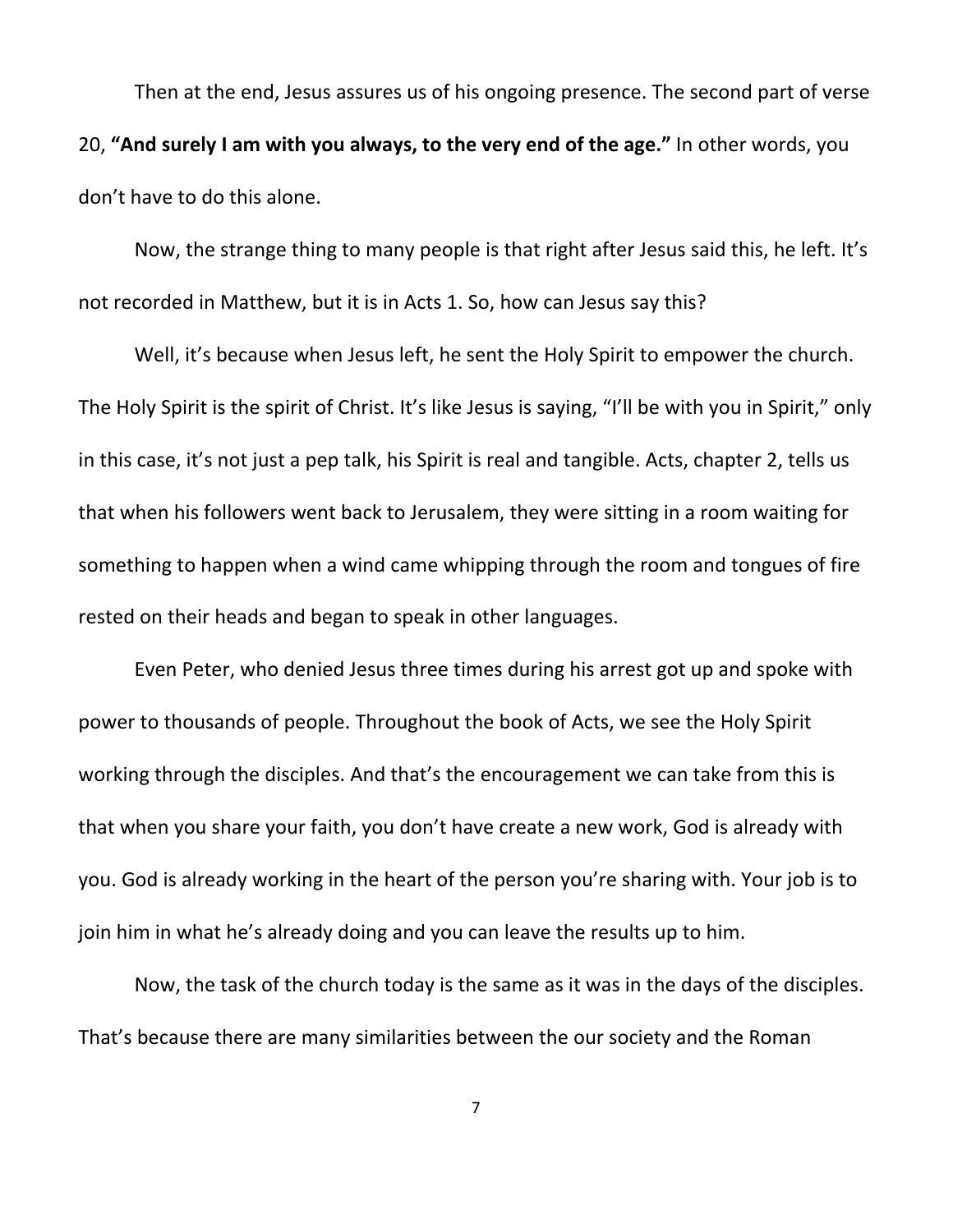Then at the end, Jesus assures us of his ongoing presence. The second part of verse 20, **"And surely I am with you always, to the very end of the age."** In other words, you don't have to do this alone.

Now, the strange thing to many people is that right after Jesus said this, he left. It's not recorded in Matthew, but it is in Acts 1. So, how can Jesus say this?

Well, it's because when Jesus left, he sent the Holy Spirit to empower the church. The Holy Spirit is the spirit of Christ. It's like Jesus is saying, "I'll be with you in Spirit," only in this case, it's not just a pep talk, his Spirit is real and tangible. Acts, chapter 2, tells us that when his followers went back to Jerusalem, they were sitting in a room waiting for something to happen when a wind came whipping through the room and tongues of fire rested on their heads and began to speak in other languages.

Even Peter, who denied Jesus three times during his arrest got up and spoke with power to thousands of people. Throughout the book of Acts, we see the Holy Spirit working through the disciples. And that's the encouragement we can take from this is that when you share your faith, you don't have create a new work, God is already with you. God is already working in the heart of the person you're sharing with. Your job is to join him in what he's already doing and you can leave the results up to him.

Now, the task of the church today is the same as it was in the days of the disciples. That's because there are many similarities between the our society and the Roman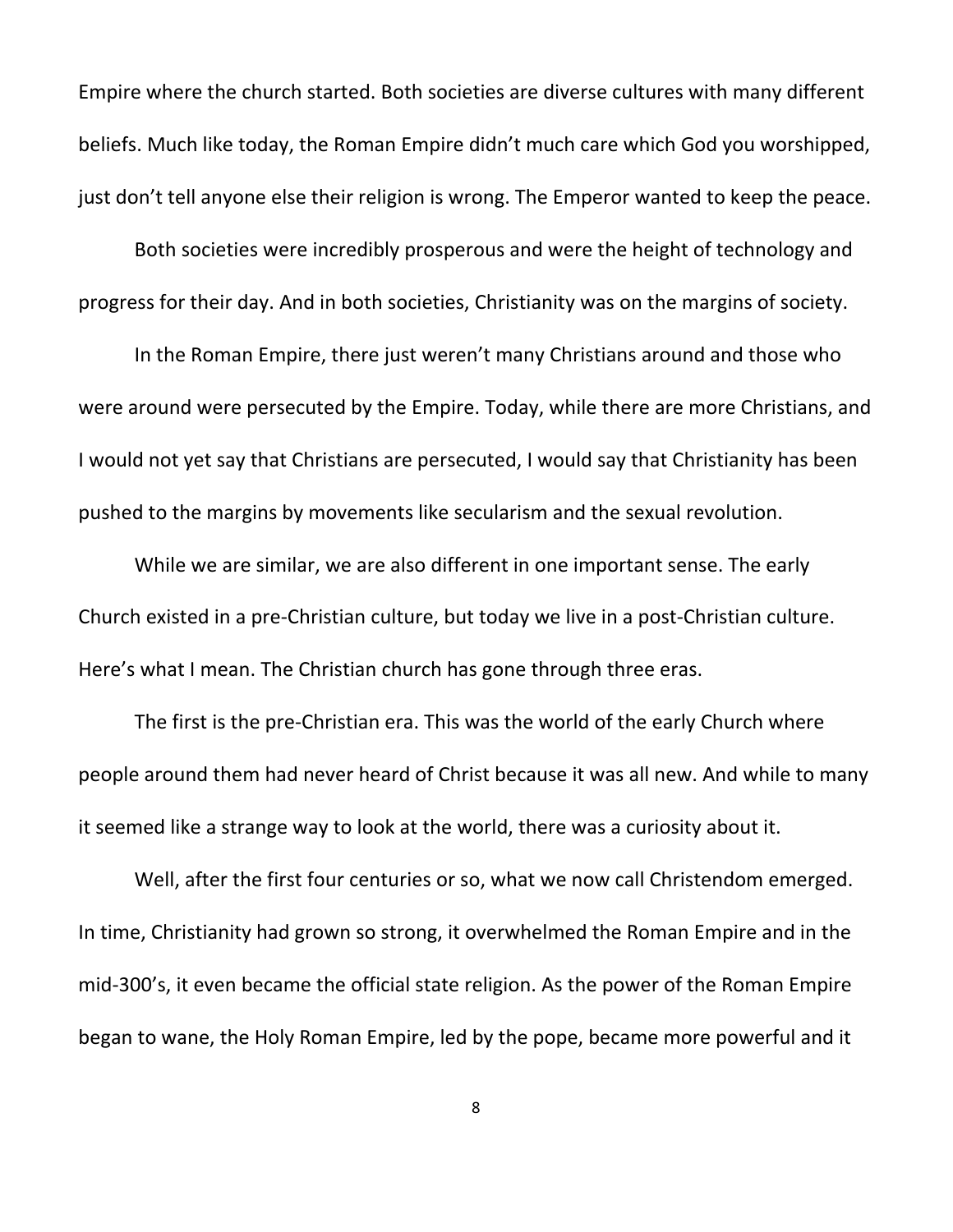Empire where the church started. Both societies are diverse cultures with many different beliefs. Much like today, the Roman Empire didn't much care which God you worshipped, just don't tell anyone else their religion is wrong. The Emperor wanted to keep the peace.

Both societies were incredibly prosperous and were the height of technology and progress for their day. And in both societies, Christianity was on the margins of society.

In the Roman Empire, there just weren't many Christians around and those who were around were persecuted by the Empire. Today, while there are more Christians, and I would not yet say that Christians are persecuted, I would say that Christianity has been pushed to the margins by movements like secularism and the sexual revolution.

While we are similar, we are also different in one important sense. The early Church existed in a pre-Christian culture, but today we live in a post-Christian culture. Here's what I mean. The Christian church has gone through three eras.

The first is the pre-Christian era. This was the world of the early Church where people around them had never heard of Christ because it was all new. And while to many it seemed like a strange way to look at the world, there was a curiosity about it.

Well, after the first four centuries or so, what we now call Christendom emerged. In time, Christianity had grown so strong, it overwhelmed the Roman Empire and in the mid-300's, it even became the official state religion. As the power of the Roman Empire began to wane, the Holy Roman Empire, led by the pope, became more powerful and it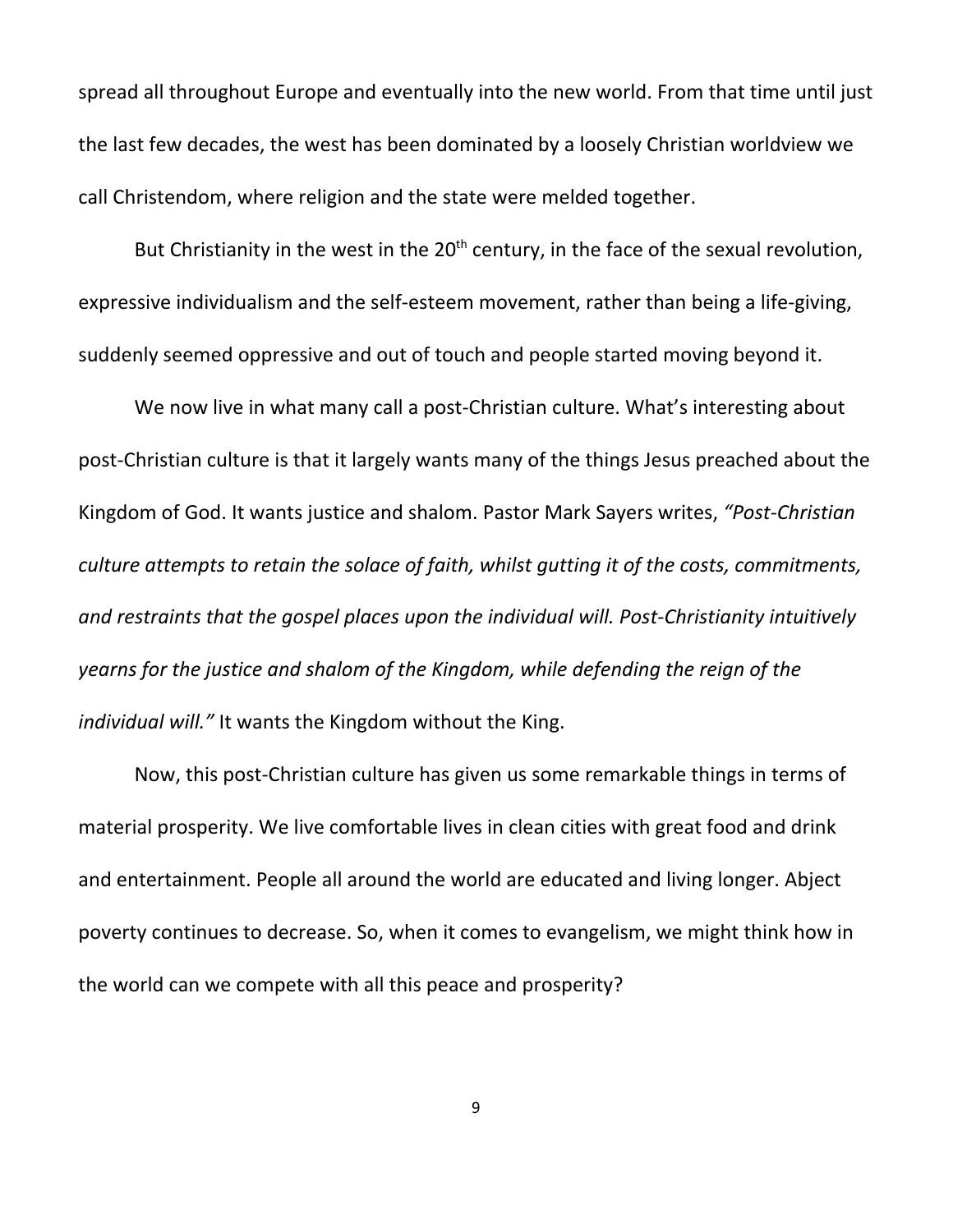spread all throughout Europe and eventually into the new world. From that time until just the last few decades, the west has been dominated by a loosely Christian worldview we call Christendom, where religion and the state were melded together.

But Christianity in the west in the 20<sup>th</sup> century, in the face of the sexual revolution, expressive individualism and the self-esteem movement, rather than being a life-giving, suddenly seemed oppressive and out of touch and people started moving beyond it.

We now live in what many call a post-Christian culture. What's interesting about post-Christian culture is that it largely wants many of the things Jesus preached about the Kingdom of God. It wants justice and shalom. Pastor Mark Sayers writes, *"Post-Christian culture attempts to retain the solace of faith, whilst gutting it of the costs, commitments, and restraints that the gospel places upon the individual will. Post-Christianity intuitively yearns for the justice and shalom of the Kingdom, while defending the reign of the individual will."* It wants the Kingdom without the King.

Now, this post-Christian culture has given us some remarkable things in terms of material prosperity. We live comfortable lives in clean cities with great food and drink and entertainment. People all around the world are educated and living longer. Abject poverty continues to decrease. So, when it comes to evangelism, we might think how in the world can we compete with all this peace and prosperity?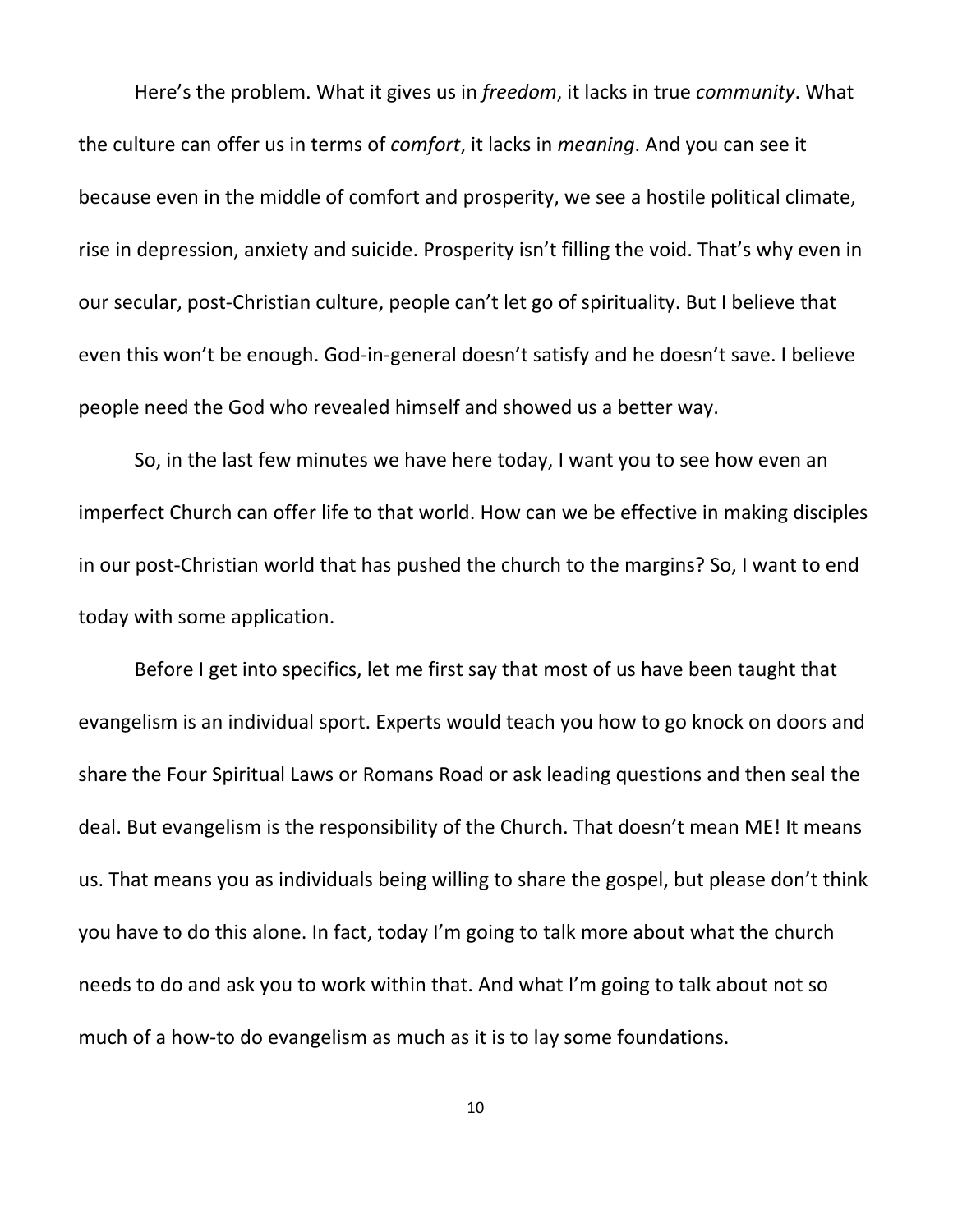Here's the problem. What it gives us in *freedom*, it lacks in true *community*. What the culture can offer us in terms of *comfort*, it lacks in *meaning*. And you can see it because even in the middle of comfort and prosperity, we see a hostile political climate, rise in depression, anxiety and suicide. Prosperity isn't filling the void. That's why even in our secular, post-Christian culture, people can't let go of spirituality. But I believe that even this won't be enough. God-in-general doesn't satisfy and he doesn't save. I believe people need the God who revealed himself and showed us a better way.

So, in the last few minutes we have here today, I want you to see how even an imperfect Church can offer life to that world. How can we be effective in making disciples in our post-Christian world that has pushed the church to the margins? So, I want to end today with some application.

Before I get into specifics, let me first say that most of us have been taught that evangelism is an individual sport. Experts would teach you how to go knock on doors and share the Four Spiritual Laws or Romans Road or ask leading questions and then seal the deal. But evangelism is the responsibility of the Church. That doesn't mean ME! It means us. That means you as individuals being willing to share the gospel, but please don't think you have to do this alone. In fact, today I'm going to talk more about what the church needs to do and ask you to work within that. And what I'm going to talk about not so much of a how-to do evangelism as much as it is to lay some foundations.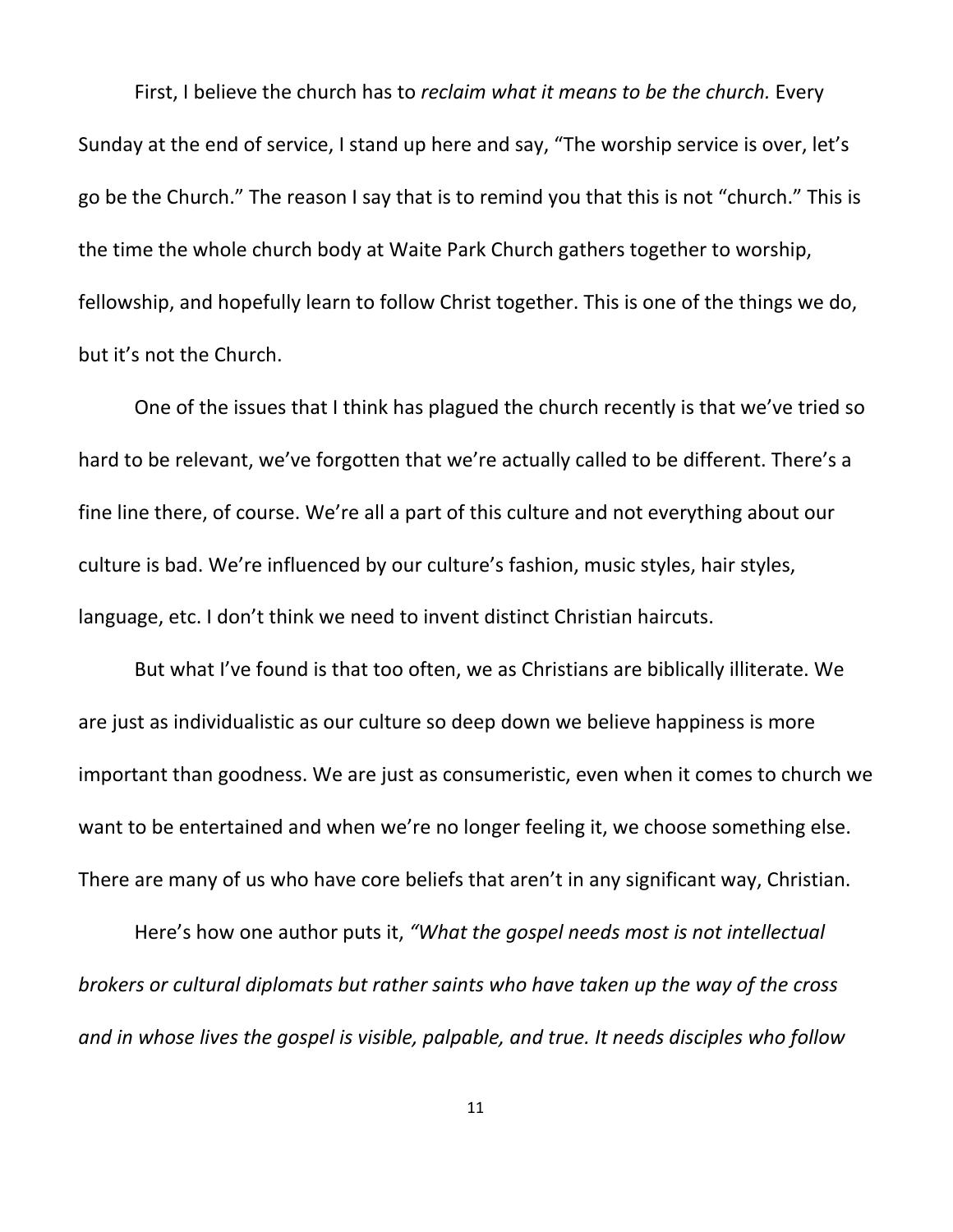First, I believe the church has to *reclaim what it means to be the church.* Every Sunday at the end of service, I stand up here and say, "The worship service is over, let's go be the Church." The reason I say that is to remind you that this is not "church." This is the time the whole church body at Waite Park Church gathers together to worship, fellowship, and hopefully learn to follow Christ together. This is one of the things we do, but it's not the Church.

One of the issues that I think has plagued the church recently is that we've tried so hard to be relevant, we've forgotten that we're actually called to be different. There's a fine line there, of course. We're all a part of this culture and not everything about our culture is bad. We're influenced by our culture's fashion, music styles, hair styles, language, etc. I don't think we need to invent distinct Christian haircuts.

But what I've found is that too often, we as Christians are biblically illiterate. We are just as individualistic as our culture so deep down we believe happiness is more important than goodness. We are just as consumeristic, even when it comes to church we want to be entertained and when we're no longer feeling it, we choose something else. There are many of us who have core beliefs that aren't in any significant way, Christian.

Here's how one author puts it, *"What the gospel needs most is not intellectual brokers or cultural diplomats but rather saints who have taken up the way of the cross and in whose lives the gospel is visible, palpable, and true. It needs disciples who follow*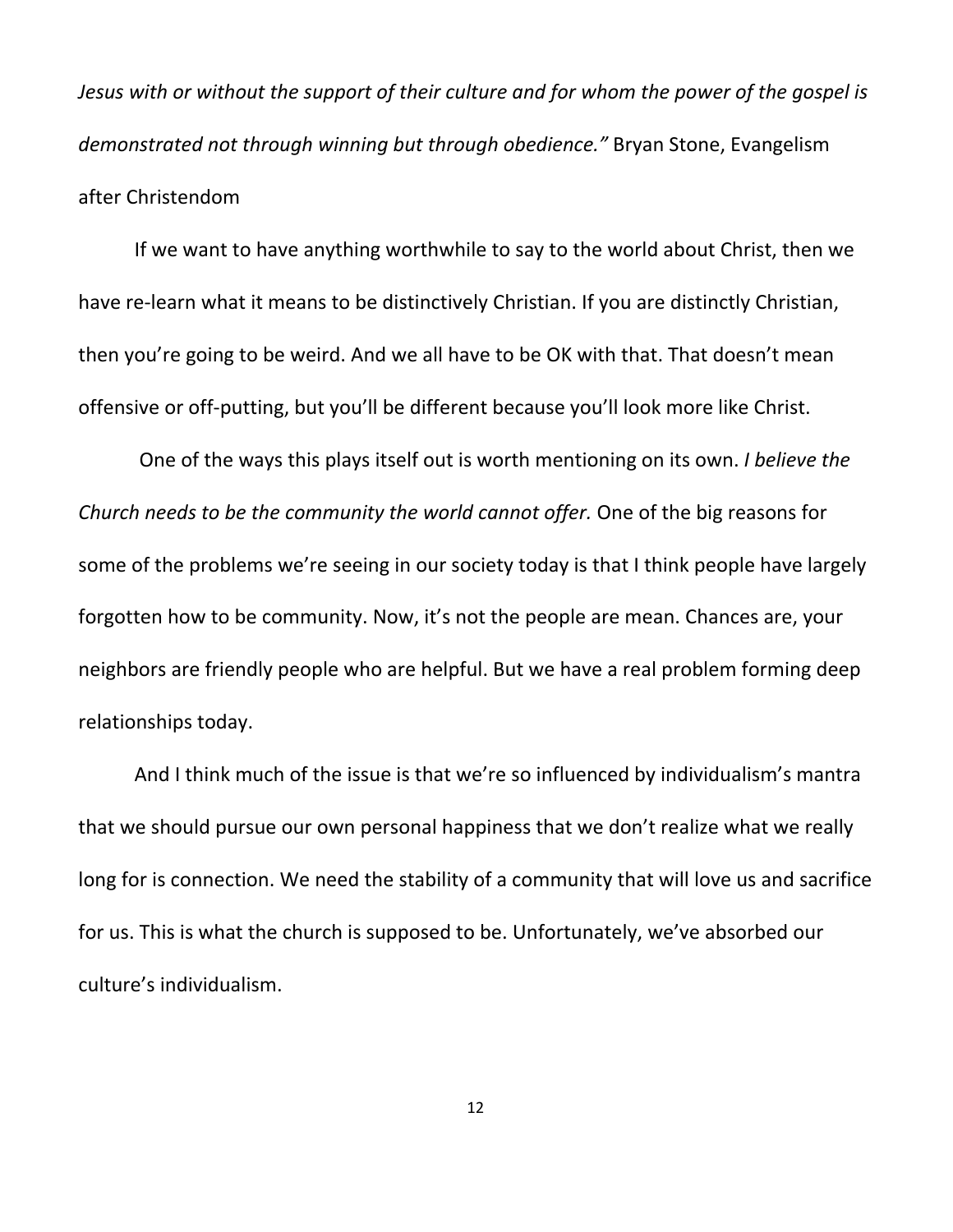*Jesus with or without the support of their culture and for whom the power of the gospel is demonstrated not through winning but through obedience."* Bryan Stone, Evangelism after Christendom

If we want to have anything worthwhile to say to the world about Christ, then we have re-learn what it means to be distinctively Christian. If you are distinctly Christian, then you're going to be weird. And we all have to be OK with that. That doesn't mean offensive or off-putting, but you'll be different because you'll look more like Christ.

One of the ways this plays itself out is worth mentioning on its own. *I believe the Church needs to be the community the world cannot offer.* One of the big reasons for some of the problems we're seeing in our society today is that I think people have largely forgotten how to be community. Now, it's not the people are mean. Chances are, your neighbors are friendly people who are helpful. But we have a real problem forming deep relationships today.

And I think much of the issue is that we're so influenced by individualism's mantra that we should pursue our own personal happiness that we don't realize what we really long for is connection. We need the stability of a community that will love us and sacrifice for us. This is what the church is supposed to be. Unfortunately, we've absorbed our culture's individualism.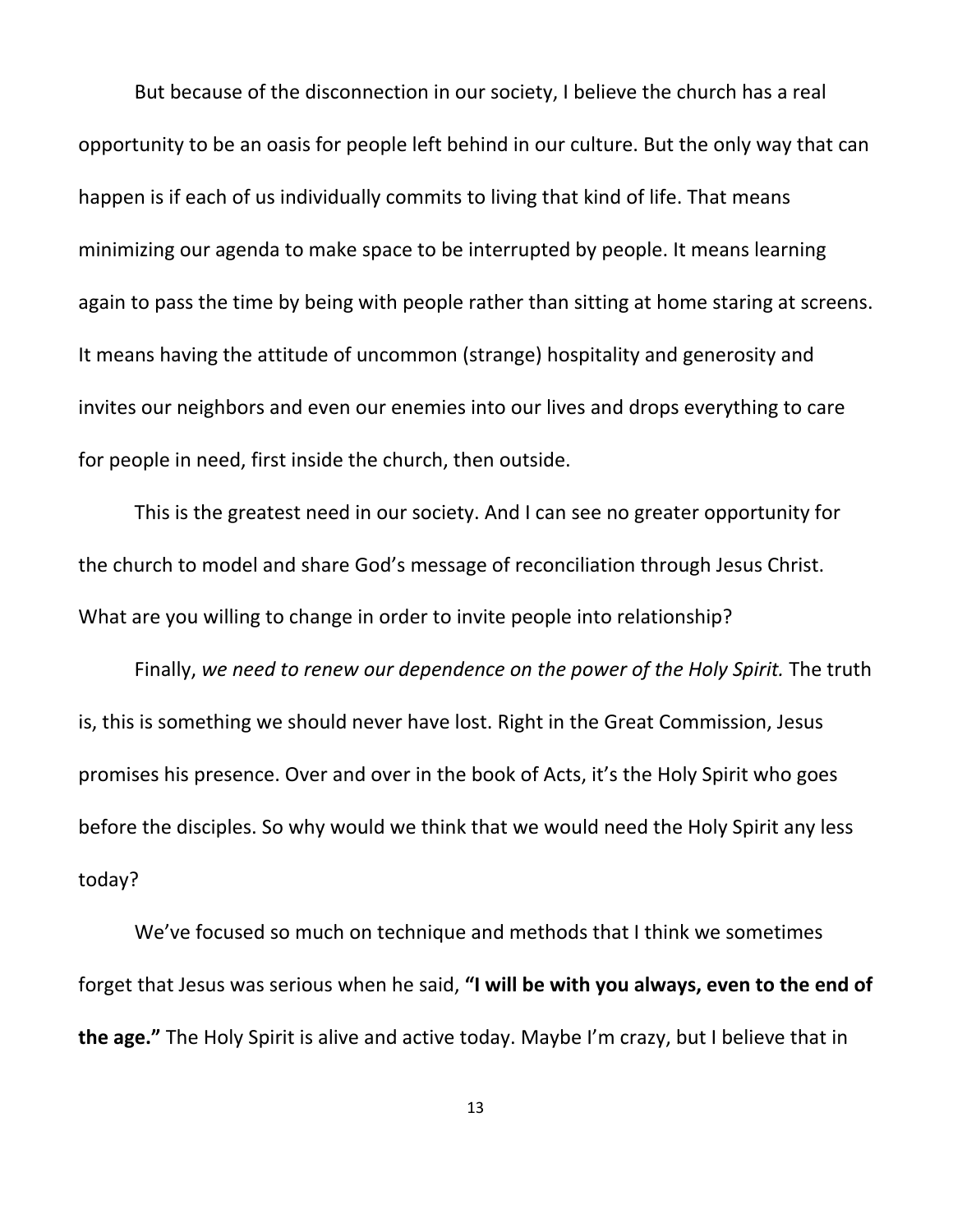But because of the disconnection in our society, I believe the church has a real opportunity to be an oasis for people left behind in our culture. But the only way that can happen is if each of us individually commits to living that kind of life. That means minimizing our agenda to make space to be interrupted by people. It means learning again to pass the time by being with people rather than sitting at home staring at screens. It means having the attitude of uncommon (strange) hospitality and generosity and invites our neighbors and even our enemies into our lives and drops everything to care for people in need, first inside the church, then outside.

This is the greatest need in our society. And I can see no greater opportunity for the church to model and share God's message of reconciliation through Jesus Christ. What are you willing to change in order to invite people into relationship?

Finally, *we need to renew our dependence on the power of the Holy Spirit.* The truth is, this is something we should never have lost. Right in the Great Commission, Jesus promises his presence. Over and over in the book of Acts, it's the Holy Spirit who goes before the disciples. So why would we think that we would need the Holy Spirit any less today?

We've focused so much on technique and methods that I think we sometimes forget that Jesus was serious when he said, **"I will be with you always, even to the end of the age."** The Holy Spirit is alive and active today. Maybe I'm crazy, but I believe that in